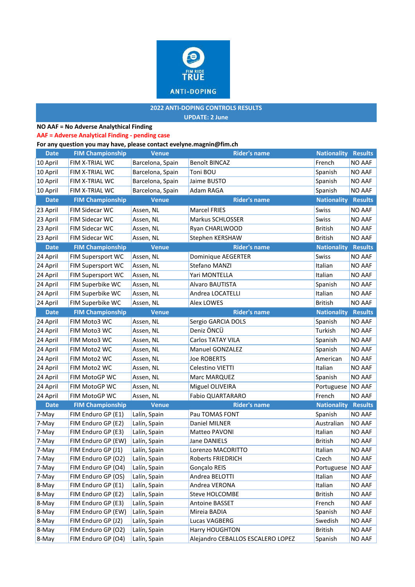

### **2022 ANTI-DOPING CONTROLS RESULTS UPDATE: 2 June**

## **NO AAF = No Adverse Analythical Finding**

### **AAF = Adverse Analytical Finding - pending case**

### **[For any que](mailto:evelyne.magnin@fim.ch)stion you may have, please contact evelyne.magnin@fim.ch**

| <b>Date</b>    | <b>FIM Championship</b>                  | <b>Venue</b>                 | <b>Rider's name</b>                                 | <b>Nationality Results</b> |                  |
|----------------|------------------------------------------|------------------------------|-----------------------------------------------------|----------------------------|------------------|
| 10 April       | FIM X-TRIAL WC                           | Barcelona, Spain             | Benoît BINCAZ                                       | French                     | NO AAF           |
| 10 April       | FIM X-TRIAL WC                           | Barcelona, Spain             | Toni BOU                                            | Spanish                    | NO AAF           |
| 10 April       | FIM X-TRIAL WC                           | Barcelona, Spain             | Jaime BUSTO                                         | Spanish                    | NO AAF           |
| 10 April       | FIM X-TRIAL WC                           | Barcelona, Spain             | Adam RAGA                                           | Spanish                    | NO AAF           |
| <b>Date</b>    | <b>FIM Championship</b>                  | <b>Venue</b>                 | <b>Rider's name</b>                                 | <b>Nationality</b>         | <b>Results</b>   |
| 23 April       | FIM Sidecar WC                           | Assen, NL                    | Marcel FRIES                                        | Swiss                      | NO AAF           |
| 23 April       | <b>FIM Sidecar WC</b>                    | Assen, NL                    | Markus SCHLOSSER                                    | Swiss                      | NO AAF           |
| 23 April       | FIM Sidecar WC                           | Assen, NL                    | Ryan CHARLWOOD                                      | <b>British</b>             | NO AAF           |
| 23 April       | FIM Sidecar WC                           | Assen, NL                    | Stephen KERSHAW                                     | <b>British</b>             | <b>NO AAF</b>    |
| <b>Date</b>    | <b>FIM Championship</b>                  | <b>Venue</b>                 | <b>Rider's name</b>                                 | <b>Nationality</b>         | <b>Results</b>   |
| 24 April       | FIM Supersport WC                        | Assen, NL                    | Dominique AEGERTER                                  | Swiss                      | NO AAF           |
| 24 April       | FIM Supersport WC                        | Assen, NL                    | Stefano MANZI                                       | Italian                    | NO AAF           |
| 24 April       | FIM Supersport WC                        | Assen, NL                    | Yari MONTELLA                                       | Italian                    | NO AAF           |
| 24 April       | FIM Superbike WC                         | Assen, NL                    | Alvaro BAUTISTA                                     | Spanish                    | NO AAF           |
| 24 April       | FIM Superbike WC                         | Assen, NL                    | Andrea LOCATELLI                                    | Italian                    | NO AAF           |
| 24 April       | FIM Superbike WC                         | Assen, NL                    | <b>Alex LOWES</b>                                   | <b>British</b>             | NO AAF           |
| <b>Date</b>    | <b>FIM Championship</b>                  | <b>Venue</b>                 | <b>Rider's name</b>                                 | <b>Nationality Results</b> |                  |
| 24 April       | FIM Moto3 WC                             | Assen, NL                    | Sergio GARCIA DOLS                                  | Spanish                    | <b>NO AAF</b>    |
| 24 April       | FIM Moto3 WC                             | Assen, NL                    | Deniz ÖNCÜ                                          | Turkish                    | NO AAF           |
| 24 April       | FIM Moto3 WC                             | Assen, NL                    | Carlos TATAY VILA                                   | Spanish                    | NO AAF           |
| 24 April       | FIM Moto2 WC                             | Assen, NL                    | <b>Manuel GONZALEZ</b>                              | Spanish                    | NO AAF           |
| 24 April       | FIM Moto2 WC                             | Assen, NL                    | <b>Joe ROBERTS</b>                                  | American                   | NO AAF           |
| 24 April       | FIM Moto2 WC                             | Assen, NL                    | Celestino VIETTI                                    | Italian                    | NO AAF           |
| 24 April       | FIM MotoGP WC                            | Assen, NL                    | Marc MARQUEZ                                        | Spanish                    | <b>NO AAF</b>    |
| 24 April       | FIM MotoGP WC                            | Assen, NL                    | Miguel OLIVEIRA                                     | Portuguese NO AAF          |                  |
| 24 April       | FIM MotoGP WC                            | Assen, NL                    | Fabio QUARTARARO                                    | French                     | NO AAF           |
| <b>Date</b>    | <b>FIM Championship</b>                  | <b>Venue</b>                 | <b>Rider's name</b>                                 | <b>Nationality</b>         | <b>Results</b>   |
| 7-May          | FIM Enduro GP (E1)                       | Lalín, Spain                 | Pau TOMAS FONT                                      | Spanish                    | NO AAF           |
| 7-May          | FIM Enduro GP (E2)                       | Lalín, Spain                 | Daniel MILNER                                       | Australian                 | NO AAF           |
| 7-May          | FIM Enduro GP (E3)                       | Lalín, Spain                 | Matteo PAVONI                                       | Italian                    | NO AAF           |
| 7-May          | FIM Enduro GP (EW)                       | Lalín, Spain                 | Jane DANIELS                                        | <b>British</b>             | NO AAF           |
| 7-May          | FIM Enduro GP (J1)                       | Lalín, Spain                 | Lorenzo MACORITTO                                   | Italian                    | <b>NO AAF</b>    |
| 7-May          | FIM Enduro GP (O2)                       | Lalín, Spain                 | Roberts FRIEDRICH                                   | Czech                      | NO AAF           |
| 7-May          | FIM Enduro GP (O4)                       | Lalín, Spain                 | Gonçalo REIS                                        | Portuguese NO AAF          |                  |
| 7-May          | FIM Enduro GP (OS)                       | Lalín, Spain                 | Andrea BELOTTI                                      | Italian                    | NO AAF           |
| 8-May          | FIM Enduro GP (E1)                       | Lalín, Spain                 | Andrea VERONA                                       | Italian                    | NO AAF           |
| 8-May          | FIM Enduro GP (E2)                       | Lalín, Spain                 | Steve HOLCOMBE                                      | <b>British</b>             | NO AAF           |
| 8-May          | FIM Enduro GP (E3)                       | Lalín, Spain                 | Antoine BASSET                                      | French                     | NO AAF           |
| 8-May          | FIM Enduro GP (EW)                       | Lalín, Spain                 | Mireia BADIA                                        | Spanish                    | NO AAF           |
| 8-May          | FIM Enduro GP (J2)<br>FIM Enduro GP (O2) | Lalín, Spain                 | Lucas VAGBERG                                       | Swedish                    | NO AAF           |
| 8-May<br>8-May | FIM Enduro GP (O4)                       | Lalín, Spain<br>Lalín, Spain | Harry HOUGHTON<br>Alejandro CEBALLOS ESCALERO LOPEZ | British                    | NO AAF<br>NO AAF |
|                |                                          |                              |                                                     | Spanish                    |                  |